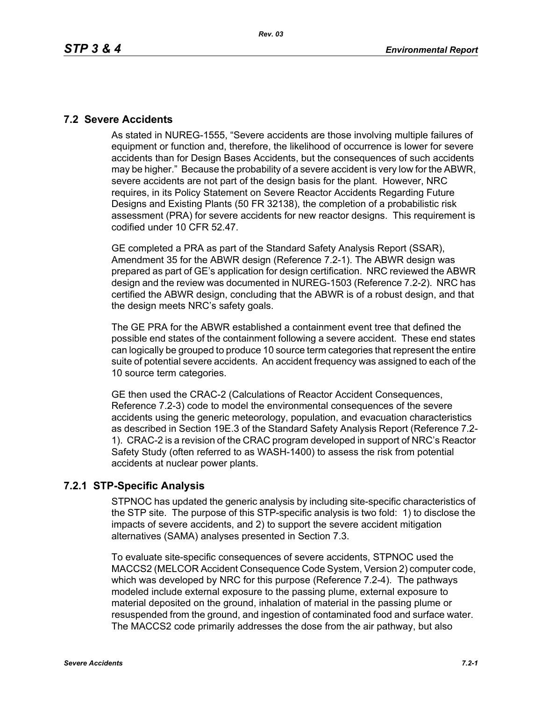## **7.2 Severe Accidents**

As stated in NUREG-1555, "Severe accidents are those involving multiple failures of equipment or function and, therefore, the likelihood of occurrence is lower for severe accidents than for Design Bases Accidents, but the consequences of such accidents may be higher." Because the probability of a severe accident is very low for the ABWR, severe accidents are not part of the design basis for the plant. However, NRC requires, in its Policy Statement on Severe Reactor Accidents Regarding Future Designs and Existing Plants (50 FR 32138), the completion of a probabilistic risk assessment (PRA) for severe accidents for new reactor designs. This requirement is codified under 10 CFR 52.47.

GE completed a PRA as part of the Standard Safety Analysis Report (SSAR), Amendment 35 for the ABWR design (Reference 7.2-1). The ABWR design was prepared as part of GE's application for design certification. NRC reviewed the ABWR design and the review was documented in NUREG-1503 (Reference 7.2-2). NRC has certified the ABWR design, concluding that the ABWR is of a robust design, and that the design meets NRC's safety goals.

The GE PRA for the ABWR established a containment event tree that defined the possible end states of the containment following a severe accident. These end states can logically be grouped to produce 10 source term categories that represent the entire suite of potential severe accidents. An accident frequency was assigned to each of the 10 source term categories.

GE then used the CRAC-2 (Calculations of Reactor Accident Consequences, Reference 7.2-3) code to model the environmental consequences of the severe accidents using the generic meteorology, population, and evacuation characteristics as described in Section 19E.3 of the Standard Safety Analysis Report (Reference 7.2- 1). CRAC-2 is a revision of the CRAC program developed in support of NRC's Reactor Safety Study (often referred to as WASH-1400) to assess the risk from potential accidents at nuclear power plants.

# **7.2.1 STP-Specific Analysis**

STPNOC has updated the generic analysis by including site-specific characteristics of the STP site. The purpose of this STP-specific analysis is two fold: 1) to disclose the impacts of severe accidents, and 2) to support the severe accident mitigation alternatives (SAMA) analyses presented in Section 7.3.

To evaluate site-specific consequences of severe accidents, STPNOC used the MACCS2 (MELCOR Accident Consequence Code System, Version 2) computer code, which was developed by NRC for this purpose (Reference 7.2-4). The pathways modeled include external exposure to the passing plume, external exposure to material deposited on the ground, inhalation of material in the passing plume or resuspended from the ground, and ingestion of contaminated food and surface water. The MACCS2 code primarily addresses the dose from the air pathway, but also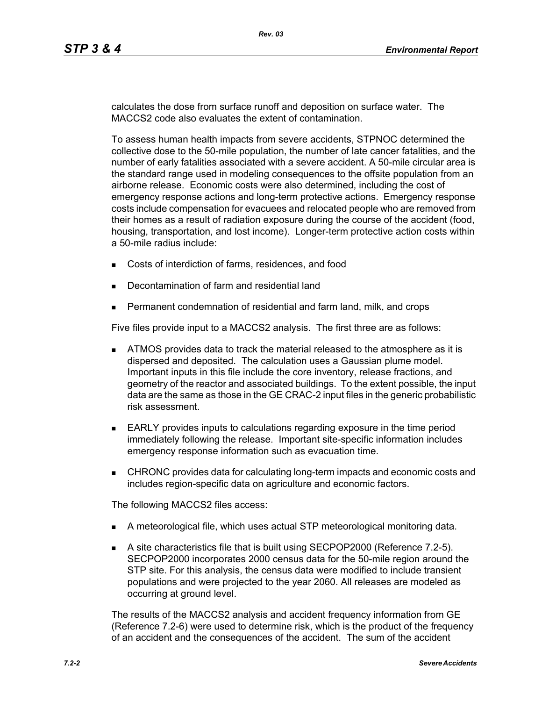calculates the dose from surface runoff and deposition on surface water. The MACCS2 code also evaluates the extent of contamination.

To assess human health impacts from severe accidents, STPNOC determined the collective dose to the 50-mile population, the number of late cancer fatalities, and the number of early fatalities associated with a severe accident. A 50-mile circular area is the standard range used in modeling consequences to the offsite population from an airborne release. Economic costs were also determined, including the cost of emergency response actions and long-term protective actions. Emergency response costs include compensation for evacuees and relocated people who are removed from their homes as a result of radiation exposure during the course of the accident (food, housing, transportation, and lost income). Longer-term protective action costs within a 50-mile radius include:

- Costs of interdiction of farms, residences, and food
- Decontamination of farm and residential land
- Permanent condemnation of residential and farm land, milk, and crops

Five files provide input to a MACCS2 analysis. The first three are as follows:

- **ATMOS** provides data to track the material released to the atmosphere as it is dispersed and deposited. The calculation uses a Gaussian plume model. Important inputs in this file include the core inventory, release fractions, and geometry of the reactor and associated buildings. To the extent possible, the input data are the same as those in the GE CRAC-2 input files in the generic probabilistic risk assessment.
- **EARLY** provides inputs to calculations regarding exposure in the time period immediately following the release. Important site-specific information includes emergency response information such as evacuation time.
- CHRONC provides data for calculating long-term impacts and economic costs and includes region-specific data on agriculture and economic factors.

The following MACCS2 files access:

- A meteorological file, which uses actual STP meteorological monitoring data.
- A site characteristics file that is built using SECPOP2000 (Reference 7.2-5). SECPOP2000 incorporates 2000 census data for the 50-mile region around the STP site. For this analysis, the census data were modified to include transient populations and were projected to the year 2060. All releases are modeled as occurring at ground level.

The results of the MACCS2 analysis and accident frequency information from GE (Reference 7.2-6) were used to determine risk, which is the product of the frequency of an accident and the consequences of the accident. The sum of the accident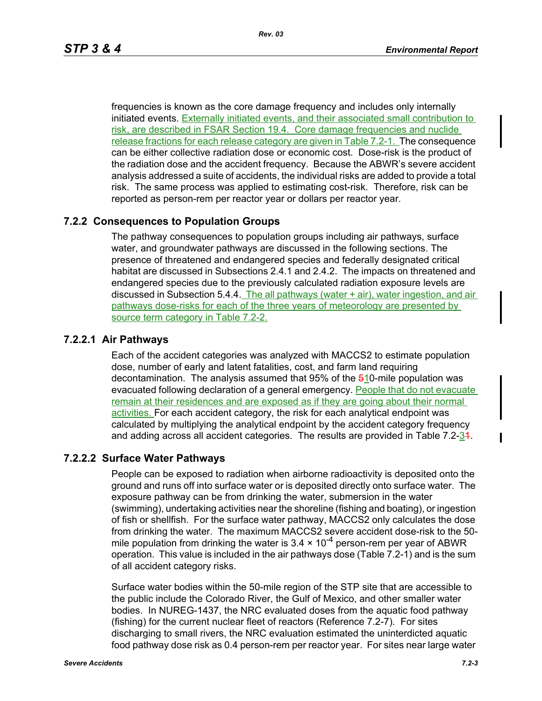frequencies is known as the core damage frequency and includes only internally initiated events. Externally initiated events, and their associated small contribution to risk, are described in FSAR Section 19.4. Core damage frequencies and nuclide release fractions for each release category are given in Table 7.2-1. The consequence can be either collective radiation dose or economic cost. Dose-risk is the product of the radiation dose and the accident frequency. Because the ABWR's severe accident analysis addressed a suite of accidents, the individual risks are added to provide a total risk. The same process was applied to estimating cost-risk. Therefore, risk can be reported as person-rem per reactor year or dollars per reactor year.

# **7.2.2 Consequences to Population Groups**

The pathway consequences to population groups including air pathways, surface water, and groundwater pathways are discussed in the following sections. The presence of threatened and endangered species and federally designated critical habitat are discussed in Subsections 2.4.1 and 2.4.2. The impacts on threatened and endangered species due to the previously calculated radiation exposure levels are discussed in Subsection 5.4.4. The all pathways (water + air), water ingestion, and air pathways dose-risks for each of the three years of meteorology are presented by source term category in Table 7.2-2.

## **7.2.2.1 Air Pathways**

Each of the accident categories was analyzed with MACCS2 to estimate population dose, number of early and latent fatalities, cost, and farm land requiring decontamination. The analysis assumed that  $95\%$  of the  $610$ -mile population was evacuated following declaration of a general emergency. People that do not evacuate remain at their residences and are exposed as if they are going about their normal activities. For each accident category, the risk for each analytical endpoint was calculated by multiplying the analytical endpoint by the accident category frequency and adding across all accident categories. The results are provided in Table 7.2-34.

### **7.2.2.2 Surface Water Pathways**

People can be exposed to radiation when airborne radioactivity is deposited onto the ground and runs off into surface water or is deposited directly onto surface water. The exposure pathway can be from drinking the water, submersion in the water (swimming), undertaking activities near the shoreline (fishing and boating), or ingestion of fish or shellfish. For the surface water pathway, MACCS2 only calculates the dose from drinking the water. The maximum MACCS2 severe accident dose-risk to the 50 mile population from drinking the water is  $3.4 \times 10^{-4}$  person-rem per year of ABWR operation. This value is included in the air pathways dose (Table 7.2-1) and is the sum of all accident category risks.

Surface water bodies within the 50-mile region of the STP site that are accessible to the public include the Colorado River, the Gulf of Mexico, and other smaller water bodies. In NUREG-1437, the NRC evaluated doses from the aquatic food pathway (fishing) for the current nuclear fleet of reactors (Reference 7.2-7). For sites discharging to small rivers, the NRC evaluation estimated the uninterdicted aquatic food pathway dose risk as 0.4 person-rem per reactor year. For sites near large water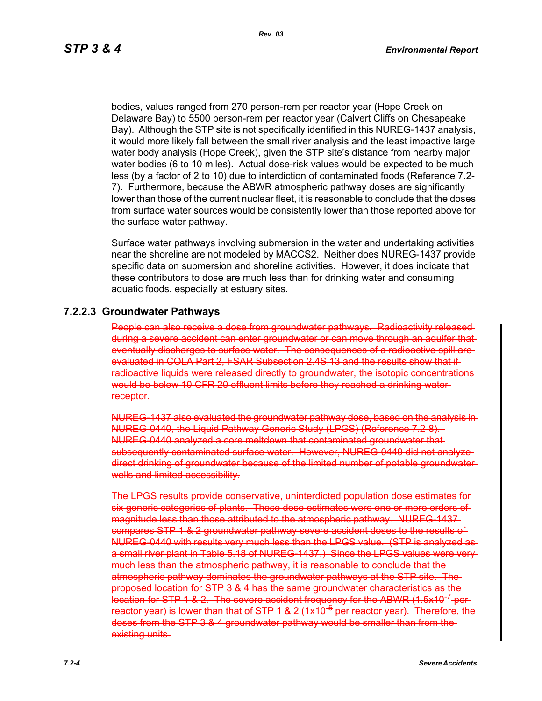bodies, values ranged from 270 person-rem per reactor year (Hope Creek on Delaware Bay) to 5500 person-rem per reactor year (Calvert Cliffs on Chesapeake Bay). Although the STP site is not specifically identified in this NUREG-1437 analysis, it would more likely fall between the small river analysis and the least impactive large water body analysis (Hope Creek), given the STP site's distance from nearby major water bodies (6 to 10 miles). Actual dose-risk values would be expected to be much less (by a factor of 2 to 10) due to interdiction of contaminated foods (Reference 7.2- 7). Furthermore, because the ABWR atmospheric pathway doses are significantly lower than those of the current nuclear fleet, it is reasonable to conclude that the doses from surface water sources would be consistently lower than those reported above for the surface water pathway.

Surface water pathways involving submersion in the water and undertaking activities near the shoreline are not modeled by MACCS2. Neither does NUREG-1437 provide specific data on submersion and shoreline activities. However, it does indicate that these contributors to dose are much less than for drinking water and consuming aquatic foods, especially at estuary sites.

### **7.2.2.3 Groundwater Pathways**

People can also receive a dose from groundwater pathways. Radioactivity released during a severe accident can enter groundwater or can move through an aquifer that eventually discharges to surface water. The consequences of a radioactive spill areevaluated in COLA Part 2, FSAR Subsection 2.4S.13 and the results show that if radioactive liquids were released directly to groundwater, the isotopic concentrations would be below 10 CFR 20 effluent limits before they reached a drinking water receptor.

NUREG-1437 also evaluated the groundwater pathway dose, based on the analysis in NUREG-0440, the Liquid Pathway Generic Study (LPGS) (Reference 7.2-8). NUREG-0440 analyzed a core meltdown that contaminated groundwater that subsequently contaminated surface water. However, NUREG 0440 did not analyze direct drinking of groundwater because of the limited number of potable groundwater wells and limited accessibility.

The LPGS results provide conservative, uninterdicted population dose estimates for six generic categories of plants. These dose estimates were one or more orders of magnitude less than those attributed to the atmospheric pathway. NUREG-1437 compares STP 1 & 2 groundwater pathway severe accident doses to the results of NUREG-0440 with results very much less than the LPGS value. (STP is analyzed as a small river plant in Table 5.18 of NUREG-1437.) Since the LPGS values were very much less than the atmospheric pathway, it is reasonable to conclude that the atmospheric pathway dominates the groundwater pathways at the STP site. The proposed location for STP 3 & 4 has the same groundwater characteristics as the location for STP 1 & 2. The severe accident frequency for the ABWR (1.5x10<sup>-7</sup>-perreactor year) is lower than that of STP 1 & 2 (1x10<sup>-6</sup> per reactor year). Therefore, the doses from the STP 3 & 4 groundwater pathway would be smaller than from the existing units.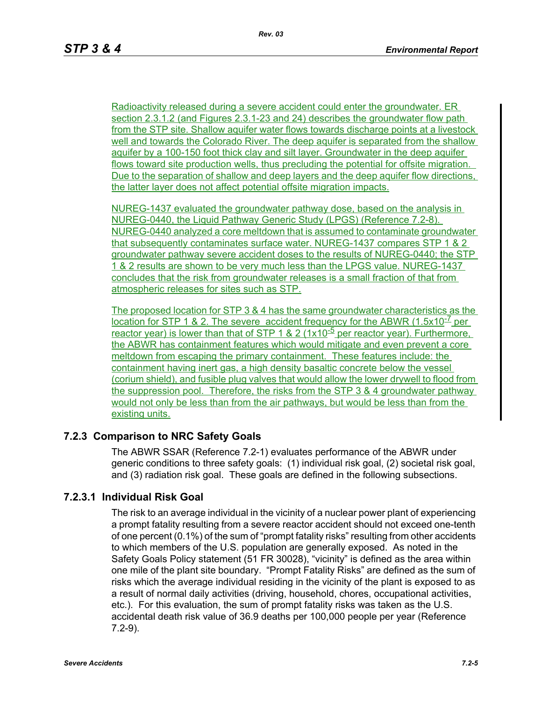Radioactivity released during a severe accident could enter the groundwater. ER section 2.3.1.2 (and Figures 2.3.1-23 and 24) describes the groundwater flow path from the STP site. Shallow aquifer water flows towards discharge points at a livestock well and towards the Colorado River. The deep aquifer is separated from the shallow aquifer by a 100-150 foot thick clay and silt layer. Groundwater in the deep aquifer flows toward site production wells, thus precluding the potential for offsite migration. Due to the separation of shallow and deep layers and the deep aquifer flow directions, the latter layer does not affect potential offsite migration impacts.

NUREG-1437 evaluated the groundwater pathway dose, based on the analysis in NUREG-0440, the Liquid Pathway Generic Study (LPGS) (Reference 7.2-8). NUREG-0440 analyzed a core meltdown that is assumed to contaminate groundwater that subsequently contaminates surface water. NUREG-1437 compares STP 1 & 2 groundwater pathway severe accident doses to the results of NUREG-0440; the STP 1 & 2 results are shown to be very much less than the LPGS value. NUREG-1437 concludes that the risk from groundwater releases is a small fraction of that from atmospheric releases for sites such as STP.

The proposed location for STP 3 & 4 has the same groundwater characteristics as the location for STP 1 & 2. The severe accident frequency for the ABWR  $(1.5x10^{-7})$  per reactor year) is lower than that of STP 1 & 2 (1x10<sup>-5</sup> per reactor year). Furthermore, the ABWR has containment features which would mitigate and even prevent a core meltdown from escaping the primary containment. These features include: the containment having inert gas, a high density basaltic concrete below the vessel (corium shield), and fusible plug valves that would allow the lower drywell to flood from the suppression pool. Therefore, the risks from the STP 3 & 4 groundwater pathway would not only be less than from the air pathways, but would be less than from the existing units.

# **7.2.3 Comparison to NRC Safety Goals**

The ABWR SSAR (Reference 7.2-1) evaluates performance of the ABWR under generic conditions to three safety goals: (1) individual risk goal, (2) societal risk goal, and (3) radiation risk goal. These goals are defined in the following subsections.

### **7.2.3.1 Individual Risk Goal**

The risk to an average individual in the vicinity of a nuclear power plant of experiencing a prompt fatality resulting from a severe reactor accident should not exceed one-tenth of one percent (0.1%) of the sum of "prompt fatality risks" resulting from other accidents to which members of the U.S. population are generally exposed. As noted in the Safety Goals Policy statement (51 FR 30028), "vicinity" is defined as the area within one mile of the plant site boundary. "Prompt Fatality Risks" are defined as the sum of risks which the average individual residing in the vicinity of the plant is exposed to as a result of normal daily activities (driving, household, chores, occupational activities, etc.). For this evaluation, the sum of prompt fatality risks was taken as the U.S. accidental death risk value of 36.9 deaths per 100,000 people per year (Reference 7.2-9).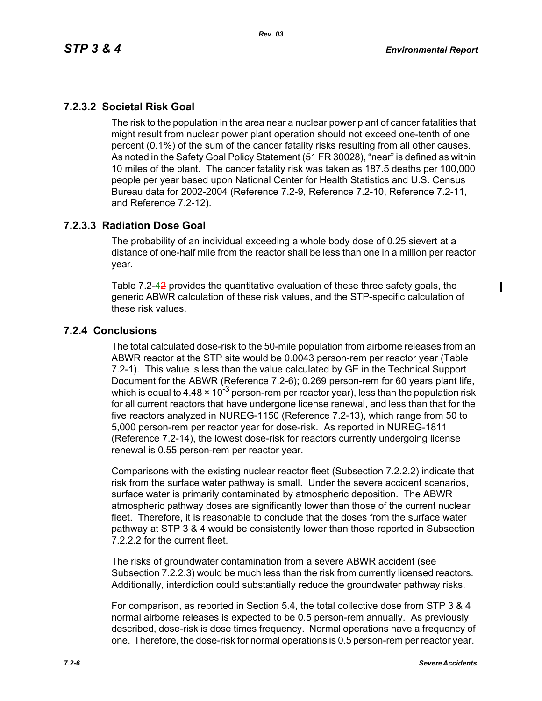ı

# **7.2.3.2 Societal Risk Goal**

The risk to the population in the area near a nuclear power plant of cancer fatalities that might result from nuclear power plant operation should not exceed one-tenth of one percent (0.1%) of the sum of the cancer fatality risks resulting from all other causes. As noted in the Safety Goal Policy Statement (51 FR 30028), "near" is defined as within 10 miles of the plant. The cancer fatality risk was taken as 187.5 deaths per 100,000 people per year based upon National Center for Health Statistics and U.S. Census Bureau data for 2002-2004 (Reference 7.2-9, Reference 7.2-10, Reference 7.2-11, and Reference 7.2-12).

# **7.2.3.3 Radiation Dose Goal**

The probability of an individual exceeding a whole body dose of 0.25 sievert at a distance of one-half mile from the reactor shall be less than one in a million per reactor year.

Table 7.2-42 provides the quantitative evaluation of these three safety goals, the generic ABWR calculation of these risk values, and the STP-specific calculation of these risk values.

## **7.2.4 Conclusions**

The total calculated dose-risk to the 50-mile population from airborne releases from an ABWR reactor at the STP site would be 0.0043 person-rem per reactor year (Table 7.2-1). This value is less than the value calculated by GE in the Technical Support Document for the ABWR (Reference 7.2-6); 0.269 person-rem for 60 years plant life, which is equal to 4.48  $\times$  10<sup>-3</sup> person-rem per reactor year), less than the population risk for all current reactors that have undergone license renewal, and less than that for the five reactors analyzed in NUREG-1150 (Reference 7.2-13), which range from 50 to 5,000 person-rem per reactor year for dose-risk. As reported in NUREG-1811 (Reference 7.2-14), the lowest dose-risk for reactors currently undergoing license renewal is 0.55 person-rem per reactor year.

Comparisons with the existing nuclear reactor fleet (Subsection 7.2.2.2) indicate that risk from the surface water pathway is small. Under the severe accident scenarios, surface water is primarily contaminated by atmospheric deposition. The ABWR atmospheric pathway doses are significantly lower than those of the current nuclear fleet. Therefore, it is reasonable to conclude that the doses from the surface water pathway at STP 3 & 4 would be consistently lower than those reported in Subsection 7.2.2.2 for the current fleet.

The risks of groundwater contamination from a severe ABWR accident (see Subsection 7.2.2.3) would be much less than the risk from currently licensed reactors. Additionally, interdiction could substantially reduce the groundwater pathway risks.

For comparison, as reported in Section 5.4, the total collective dose from STP 3 & 4 normal airborne releases is expected to be 0.5 person-rem annually. As previously described, dose-risk is dose times frequency. Normal operations have a frequency of one. Therefore, the dose-risk for normal operations is 0.5 person-rem per reactor year.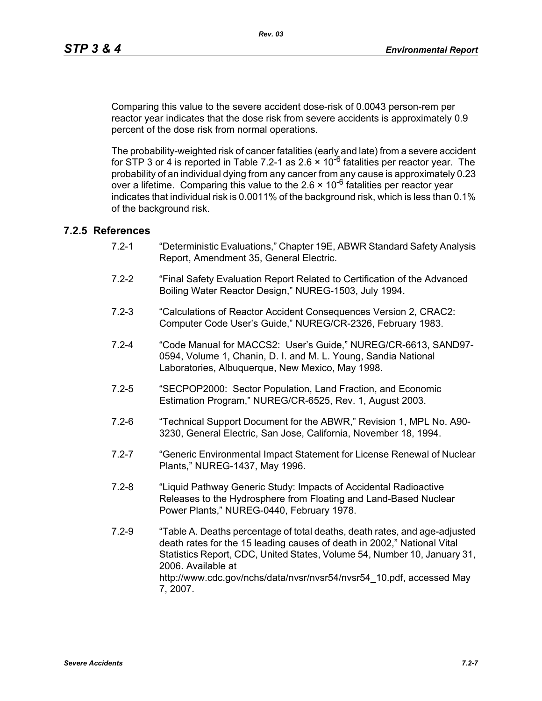Comparing this value to the severe accident dose-risk of 0.0043 person-rem per reactor year indicates that the dose risk from severe accidents is approximately 0.9 percent of the dose risk from normal operations.

The probability-weighted risk of cancer fatalities (early and late) from a severe accident for STP 3 or 4 is reported in Table 7.2-1 as 2.6  $\times$  10<sup>-6</sup> fatalities per reactor vear. The probability of an individual dying from any cancer from any cause is approximately 0.23 over a lifetime. Comparing this value to the  $2.6 \times 10^{-6}$  fatalities per reactor vear indicates that individual risk is 0.0011% of the background risk, which is less than 0.1% of the background risk.

### **7.2.5 References**

- 7.2-1 "Deterministic Evaluations," Chapter 19E, ABWR Standard Safety Analysis Report, Amendment 35, General Electric.
- 7.2-2 "Final Safety Evaluation Report Related to Certification of the Advanced Boiling Water Reactor Design," NUREG-1503, July 1994.
- 7.2-3 "Calculations of Reactor Accident Consequences Version 2, CRAC2: Computer Code User's Guide," NUREG/CR-2326, February 1983.
- 7.2-4 "Code Manual for MACCS2: User's Guide," NUREG/CR-6613, SAND97- 0594, Volume 1, Chanin, D. I. and M. L. Young, Sandia National Laboratories, Albuquerque, New Mexico, May 1998.
- 7.2-5 "SECPOP2000: Sector Population, Land Fraction, and Economic Estimation Program," NUREG/CR-6525, Rev. 1, August 2003.
- 7.2-6 "Technical Support Document for the ABWR," Revision 1, MPL No. A90- 3230, General Electric, San Jose, California, November 18, 1994.
- 7.2-7 "Generic Environmental Impact Statement for License Renewal of Nuclear Plants," NUREG-1437, May 1996.
- 7.2-8 "Liquid Pathway Generic Study: Impacts of Accidental Radioactive Releases to the Hydrosphere from Floating and Land-Based Nuclear Power Plants," NUREG-0440, February 1978.
- 7.2-9 "Table A. Deaths percentage of total deaths, death rates, and age-adjusted death rates for the 15 leading causes of death in 2002," National Vital Statistics Report, CDC, United States, Volume 54, Number 10, January 31, 2006. Available at http://www.cdc.gov/nchs/data/nvsr/nvsr54/nvsr54\_10.pdf, accessed May 7, 2007.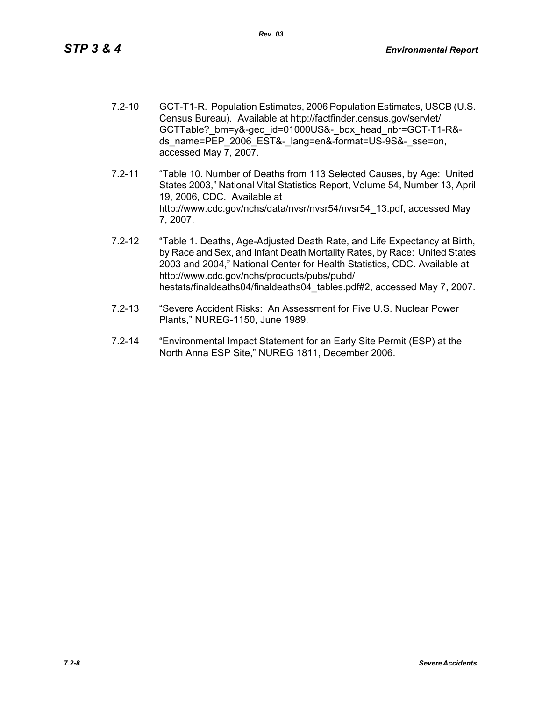- 7.2-10 GCT-T1-R. Population Estimates, 2006 Population Estimates, USCB (U.S. Census Bureau). Available at http://factfinder.census.gov/servlet/ GCTTable? bm=y&-geo\_id=01000US&-\_box\_head\_nbr=GCT-T1-R&ds\_name=PEP\_2006\_EST&-\_lang=en&-format=US-9S&-\_sse=on, accessed May 7, 2007.
- 7.2-11 "Table 10. Number of Deaths from 113 Selected Causes, by Age: United States 2003," National Vital Statistics Report, Volume 54, Number 13, April 19, 2006, CDC. Available at http://www.cdc.gov/nchs/data/nvsr/nvsr54/nvsr54\_13.pdf, accessed May 7, 2007.
- 7.2-12 "Table 1. Deaths, Age-Adjusted Death Rate, and Life Expectancy at Birth, by Race and Sex, and Infant Death Mortality Rates, by Race: United States 2003 and 2004," National Center for Health Statistics, CDC. Available at http://www.cdc.gov/nchs/products/pubs/pubd/ hestats/finaldeaths04/finaldeaths04\_tables.pdf#2, accessed May 7, 2007.
- 7.2-13 "Severe Accident Risks: An Assessment for Five U.S. Nuclear Power Plants," NUREG-1150, June 1989.
- 7.2-14 "Environmental Impact Statement for an Early Site Permit (ESP) at the North Anna ESP Site," NUREG 1811, December 2006.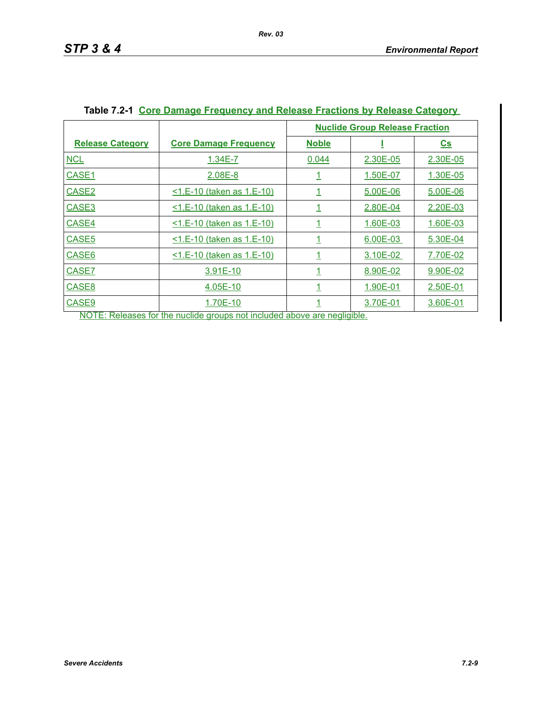|                         |                                     | <b>Nuclide Group Release Fraction</b> |          |                |
|-------------------------|-------------------------------------|---------------------------------------|----------|----------------|
| <b>Release Category</b> | <b>Core Damage Frequency</b>        | <b>Noble</b>                          |          | $\mathbf{c}$ s |
| <b>NCL</b>              | $1.34E - 7$                         | 0.044                                 | 2.30E-05 | 2.30E-05       |
| CASE1                   | 2.08E-8                             | <u>1</u>                              | 1.50E-07 | 1.30E-05       |
| CASE <sub>2</sub>       | <1.E-10 (taken as 1.E-10)           | <u>1</u>                              | 5.00E-06 | 5.00E-06       |
| CASE3                   | <u>&lt;1.E-10 (taken as 1.E-10)</u> | <u>1</u>                              | 2.80E-04 | 2.20E-03       |
| CASE4                   | <1.E-10 (taken as 1.E-10)           | $\overline{1}$                        | 1.60E-03 | 1.60E-03       |
| CASE <sub>5</sub>       | <1.E-10 (taken as 1.E-10)           | $\overline{1}$                        | 6.00E-03 | 5.30E-04       |
| CASE6                   | <u>&lt;1.E-10 (taken as 1.E-10)</u> | <u>1</u>                              | 3.10E-02 | 7.70E-02       |
| CASE7                   | 3.91E-10                            | <u>1</u>                              | 8.90E-02 | 9.90E-02       |
| CASE8                   | 4.05E-10                            | <u>1</u>                              | 1.90E-01 | 2.50E-01       |
| CASE9                   | 1.70E-10                            | <u> 1</u>                             | 3.70E-01 | 3.60E-01       |

# **Table 7.2-1 Core Damage Frequency and Release Fractions by Release Category**

NOTE: Releases for the nuclide groups not included above are negligible.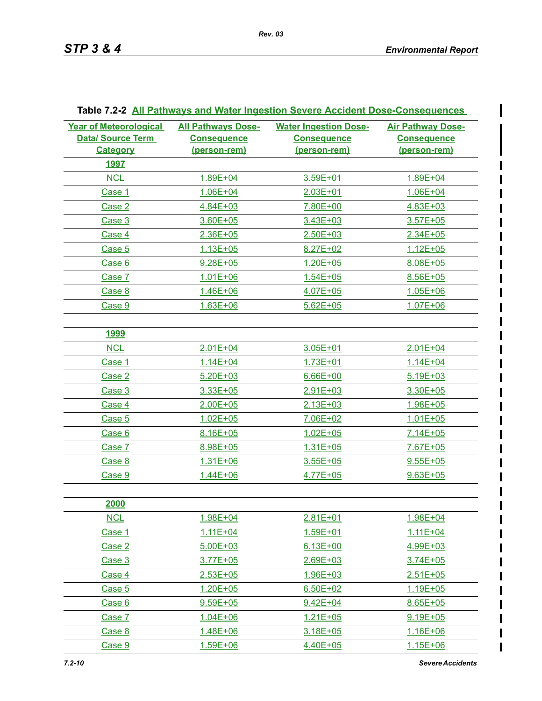$\mathsf{l}$ 

| <b>Year of Meteorological</b><br><b>Data/ Source Term</b><br><b>Category</b> | <b>All Pathways Dose-</b><br><b>Consequence</b><br>(person-rem) | <b>Water Ingestion Dose-</b><br><b>Consequence</b><br>(person-rem) | <b>Air Pathway Dose-</b><br><b>Consequence</b><br>(person-rem) |
|------------------------------------------------------------------------------|-----------------------------------------------------------------|--------------------------------------------------------------------|----------------------------------------------------------------|
| <u>1997</u>                                                                  |                                                                 |                                                                    |                                                                |
| <b>NCL</b>                                                                   | 1.89E+04                                                        | 3.59E+01                                                           | 1.89E+04                                                       |
| Case 1                                                                       | $1.06E + 04$                                                    | $2.03E + 01$                                                       | $1.06E + 04$                                                   |
| Case 2                                                                       | 4.84E+03                                                        | 7.80E+00                                                           | 4.83E+03                                                       |
| Case 3                                                                       | 3.60E+05                                                        | 3.43E+03                                                           | $3.57E + 05$                                                   |
| Case 4                                                                       | $2.36E + 05$                                                    | $2.50E + 03$                                                       | $2.34E + 05$                                                   |
| Case 5                                                                       | $1.13E + 05$                                                    | 8.27E+02                                                           | $1.12E + 05$                                                   |
| Case 6                                                                       | $9.28E + 05$                                                    | 1.20E+05                                                           | 8.08E+05                                                       |
| Case 7                                                                       | $1.01E + 06$                                                    | $1.54E + 05$                                                       | 8.56E+05                                                       |
| Case 8                                                                       | $1.46E + 06$                                                    | 4.07E+05                                                           | $1.05E + 06$                                                   |
| Case 9                                                                       | $1.63E + 06$                                                    | $5.62E + 05$                                                       | $1.07E + 06$                                                   |
|                                                                              |                                                                 |                                                                    |                                                                |
| <u>1999</u>                                                                  |                                                                 |                                                                    |                                                                |
| <b>NCL</b>                                                                   | $2.01E + 04$                                                    | 3.05E+01                                                           | $2.01E + 04$                                                   |
| Case 1                                                                       | $1.14E + 04$                                                    | 1.73E+01                                                           | $1.14E + 04$                                                   |
| Case 2                                                                       | $5.20E + 03$                                                    | $6.66E + 00$                                                       | $5.19E + 03$                                                   |
| Case 3                                                                       | 3.33E+05                                                        | $2.91E + 03$                                                       | 3.30E+05                                                       |
| Case 4                                                                       | $2.00E + 05$                                                    | $2.13E + 03$                                                       | 1.98E+05                                                       |
| Case 5                                                                       | $1.02E + 05$                                                    | 7.06E+02                                                           | $1.01E + 05$                                                   |
| Case 6                                                                       | 8.16E+05                                                        | $1.02E + 05$                                                       | $7.14E + 05$                                                   |
| Case 7                                                                       | 8.98E+05                                                        | $1.31E + 05$                                                       | 7.67E+05                                                       |
| Case 8                                                                       | $1.31E + 06$                                                    | $3.55E + 05$                                                       | $9.55E + 05$                                                   |
| Case 9                                                                       | 1.44E+06                                                        | 4.77E+05                                                           | $9.63E + 05$                                                   |
| 2000                                                                         |                                                                 |                                                                    |                                                                |
| <b>NCL</b>                                                                   | 1.98E+04                                                        | 2.81E+01                                                           | 1.98E+04                                                       |
| Case 1                                                                       | 1.11E+04                                                        | 1.59E+01                                                           | 1.11E+04                                                       |
| Case 2                                                                       | $5.00E + 03$                                                    | $6.13E + 00$                                                       | 4.99E+03                                                       |
| Case 3                                                                       | 3.77E+05                                                        | $2.69E + 03$                                                       | 3.74E+05                                                       |
| Case 4                                                                       | $2.53E + 05$                                                    | 1.96E+03                                                           | $2.51E + 05$                                                   |
| Case 5                                                                       | $1.20E + 05$                                                    | $6.50E + 02$                                                       | $1.19E + 05$                                                   |
| Case 6                                                                       | $9.59E + 05$                                                    | $9.42E + 04$                                                       | $8.65E + 05$                                                   |
| Case 7                                                                       | 1.04E+06                                                        | $1.21E + 05$                                                       | $9.19E + 05$                                                   |
| Case 8                                                                       | 1.48E+06                                                        | $3.18E + 05$                                                       | 1.16E+06                                                       |
| Case 9                                                                       | 1.59E+06                                                        | 4.40E+05                                                           | $1.15E + 06$                                                   |

### **Table 7.2-2 All Pathways and Water Ingestion Severe Accident Dose-Consequences**

I